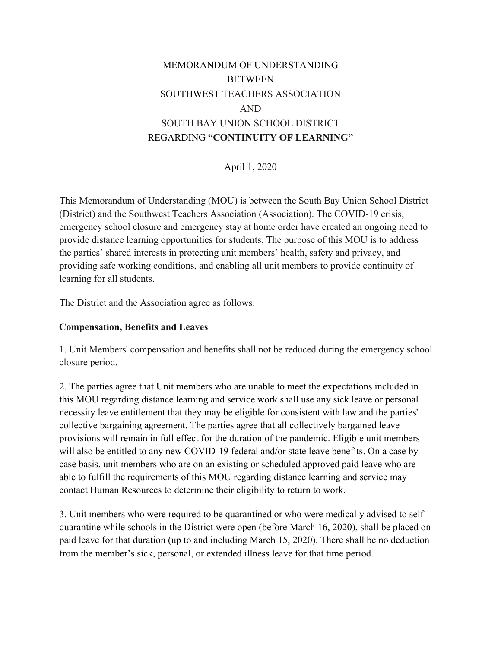# MEMORANDUM OF UNDERSTANDING **BETWEEN** SOUTHWEST TEACHERS ASSOCIATION AND SOUTH BAY UNION SCHOOL DISTRICT REGARDING **"CONTINUITY OF LEARNING"**

April 1, 2020

This Memorandum of Understanding (MOU) is between the South Bay Union School District (District) and the Southwest Teachers Association (Association). The COVID-19 crisis, emergency school closure and emergency stay at home order have created an ongoing need to provide distance learning opportunities for students. The purpose of this MOU is to address the parties' shared interests in protecting unit members' health, safety and privacy, and providing safe working conditions, and enabling all unit members to provide continuity of learning for all students.

The District and the Association agree as follows:

#### **Compensation, Benefits and Leaves**

1. Unit Members' compensation and benefits shall not be reduced during the emergency school closure period.

2. The parties agree that Unit members who are unable to meet the expectations included in this MOU regarding distance learning and service work shall use any sick leave or personal necessity leave entitlement that they may be eligible for consistent with law and the parties' collective bargaining agreement. The parties agree that all collectively bargained leave provisions will remain in full effect for the duration of the pandemic. Eligible unit members will also be entitled to any new COVID-19 federal and/or state leave benefits. On a case by case basis, unit members who are on an existing or scheduled approved paid leave who are able to fulfill the requirements of this MOU regarding distance learning and service may contact Human Resources to determine their eligibility to return to work.

3. Unit members who were required to be quarantined or who were medically advised to selfquarantine while schools in the District were open (before March 16, 2020), shall be placed on paid leave for that duration (up to and including March 15, 2020). There shall be no deduction from the member's sick, personal, or extended illness leave for that time period.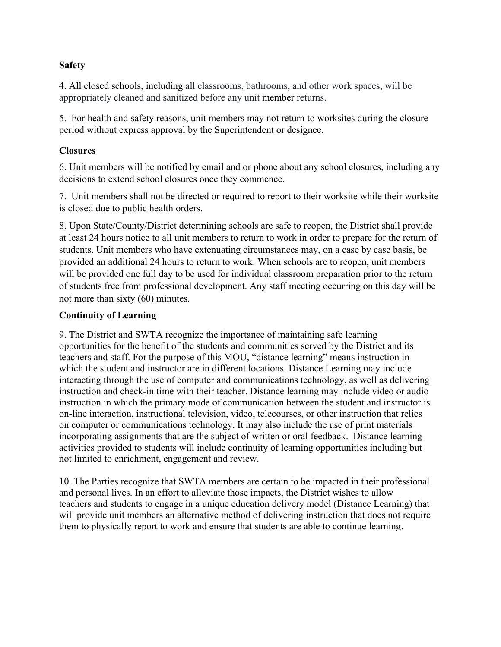#### **Safety**

4. All closed schools, including all classrooms, bathrooms, and other work spaces, will be appropriately cleaned and sanitized before any unit member returns.

5. For health and safety reasons, unit members may not return to worksites during the closure period without express approval by the Superintendent or designee.

## **Closures**

6. Unit members will be notified by email and or phone about any school closures, including any decisions to extend school closures once they commence.

7. Unit members shall not be directed or required to report to their worksite while their worksite is closed due to public health orders.

8. Upon State/County/District determining schools are safe to reopen, the District shall provide at least 24 hours notice to all unit members to return to work in order to prepare for the return of students. Unit members who have extenuating circumstances may, on a case by case basis, be provided an additional 24 hours to return to work. When schools are to reopen, unit members will be provided one full day to be used for individual classroom preparation prior to the return of students free from professional development. Any staff meeting occurring on this day will be not more than sixty (60) minutes.

### **Continuity of Learning**

9. The District and SWTA recognize the importance of maintaining safe learning opportunities for the benefit of the students and communities served by the District and its teachers and staff. For the purpose of this MOU, "distance learning" means instruction in which the student and instructor are in different locations. Distance Learning may include interacting through the use of computer and communications technology, as well as delivering instruction and check-in time with their teacher. Distance learning may include video or audio instruction in which the primary mode of communication between the student and instructor is on-line interaction, instructional television, video, telecourses, or other instruction that relies on computer or communications technology. It may also include the use of print materials incorporating assignments that are the subject of written or oral feedback. Distance learning activities provided to students will include continuity of learning opportunities including but not limited to enrichment, engagement and review.

10. The Parties recognize that SWTA members are certain to be impacted in their professional and personal lives. In an effort to alleviate those impacts, the District wishes to allow teachers and students to engage in a unique education delivery model (Distance Learning) that will provide unit members an alternative method of delivering instruction that does not require them to physically report to work and ensure that students are able to continue learning.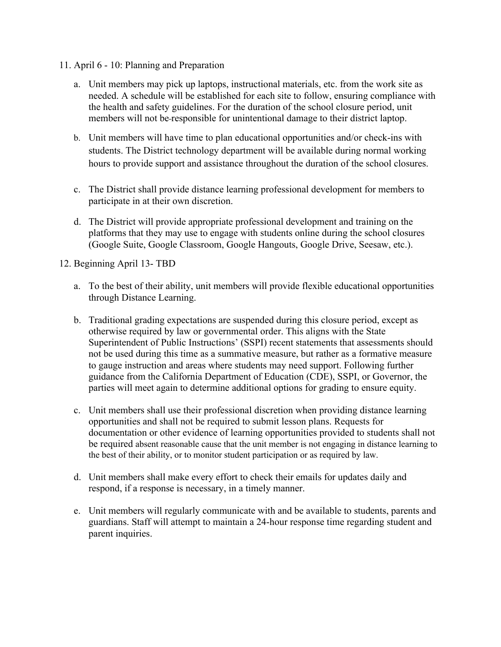- 11. April 6 10: Planning and Preparation
	- a. Unit members may pick up laptops, instructional materials, etc. from the work site as needed. A schedule will be established for each site to follow, ensuring compliance with the health and safety guidelines. For the duration of the school closure period, unit members will not be responsible for unintentional damage to their district laptop.
	- b. Unit members will have time to plan educational opportunities and/or check-ins with students. The District technology department will be available during normal working hours to provide support and assistance throughout the duration of the school closures.
	- c. The District shall provide distance learning professional development for members to participate in at their own discretion.
	- d. The District will provide appropriate professional development and training on the platforms that they may use to engage with students online during the school closures (Google Suite, Google Classroom, Google Hangouts, Google Drive, Seesaw, etc.).

12. Beginning April 13- TBD

- a. To the best of their ability, unit members will provide flexible educational opportunities through Distance Learning.
- b. Traditional grading expectations are suspended during this closure period, except as otherwise required by law or governmental order. This aligns with the State Superintendent of Public Instructions' (SSPI) recent statements that assessments should not be used during this time as a summative measure, but rather as a formative measure to gauge instruction and areas where students may need support. Following further guidance from the California Department of Education (CDE), SSPI, or Governor, the parties will meet again to determine additional options for grading to ensure equity.
- c. Unit members shall use their professional discretion when providing distance learning opportunities and shall not be required to submit lesson plans. Requests for documentation or other evidence of learning opportunities provided to students shall not be required absent reasonable cause that the unit member is not engaging in distance learning to the best of their ability, or to monitor student participation or as required by law.
- d. Unit members shall make every effort to check their emails for updates daily and respond, if a response is necessary, in a timely manner.
- e. Unit members will regularly communicate with and be available to students, parents and guardians. Staff will attempt to maintain a 24-hour response time regarding student and parent inquiries.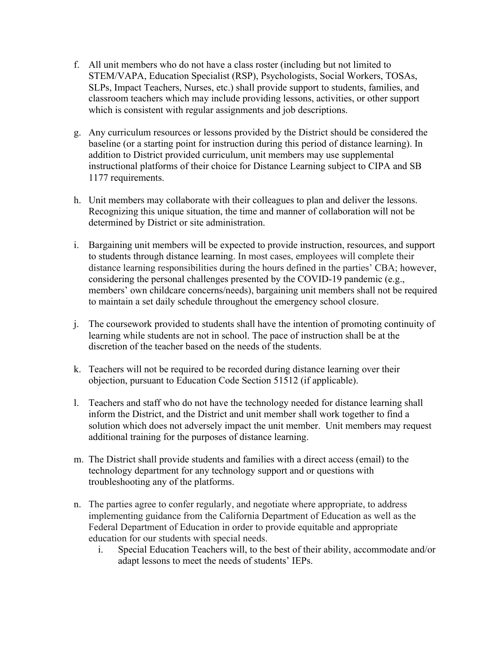- f. All unit members who do not have a class roster (including but not limited to STEM/VAPA, Education Specialist (RSP), Psychologists, Social Workers, TOSAs, SLPs, Impact Teachers, Nurses, etc.) shall provide support to students, families, and classroom teachers which may include providing lessons, activities, or other support which is consistent with regular assignments and job descriptions.
- g. Any curriculum resources or lessons provided by the District should be considered the baseline (or a starting point for instruction during this period of distance learning). In addition to District provided curriculum, unit members may use supplemental instructional platforms of their choice for Distance Learning subject to CIPA and SB 1177 requirements.
- h. Unit members may collaborate with their colleagues to plan and deliver the lessons. Recognizing this unique situation, the time and manner of collaboration will not be determined by District or site administration.
- i. Bargaining unit members will be expected to provide instruction, resources, and support to students through distance learning. In most cases, employees will complete their distance learning responsibilities during the hours defined in the parties' CBA; however, considering the personal challenges presented by the COVID-19 pandemic (e.g., members' own childcare concerns/needs), bargaining unit members shall not be required to maintain a set daily schedule throughout the emergency school closure.
- j. The coursework provided to students shall have the intention of promoting continuity of learning while students are not in school. The pace of instruction shall be at the discretion of the teacher based on the needs of the students.
- k. Teachers will not be required to be recorded during distance learning over their objection, pursuant to Education Code Section 51512 (if applicable).
- l. Teachers and staff who do not have the technology needed for distance learning shall inform the District, and the District and unit member shall work together to find a solution which does not adversely impact the unit member. Unit members may request additional training for the purposes of distance learning.
- m. The District shall provide students and families with a direct access (email) to the technology department for any technology support and or questions with troubleshooting any of the platforms.
- n. The parties agree to confer regularly, and negotiate where appropriate, to address implementing guidance from the California Department of Education as well as the Federal Department of Education in order to provide equitable and appropriate education for our students with special needs.
	- i. Special Education Teachers will, to the best of their ability, accommodate and/or adapt lessons to meet the needs of students' IEPs.